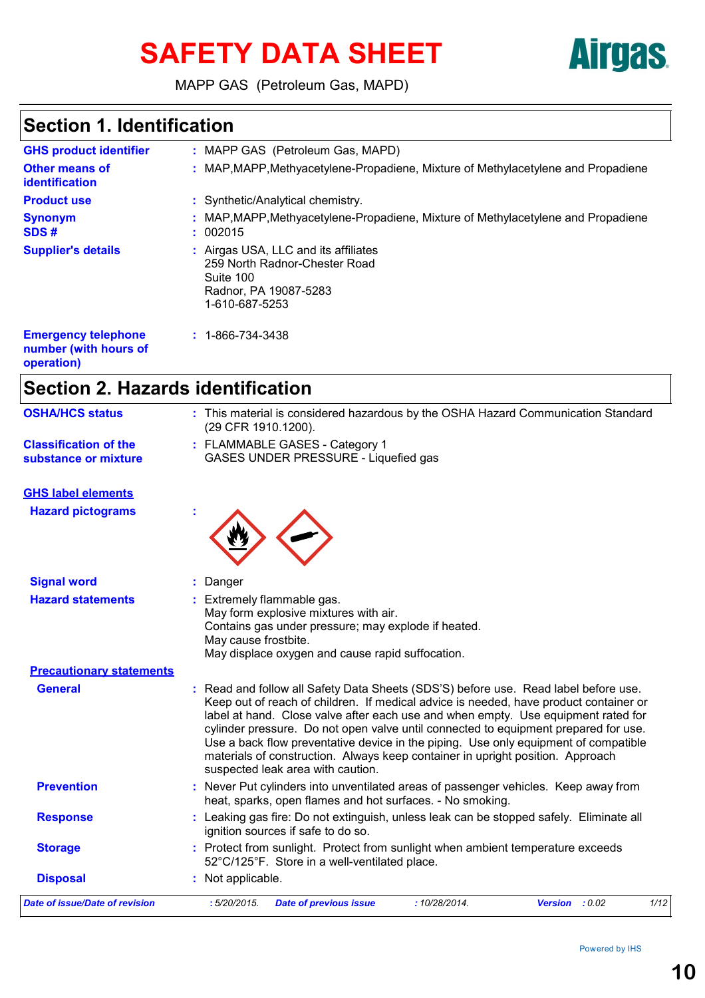# SAFETY DATA SHEET **AITGES**



MAPP GAS (Petroleum Gas, MAPD)

## **Section 1. Identification**

| <b>GHS product identifier</b>                                                                                                                                                                                                                               | : MAPP GAS (Petroleum Gas, MAPD)                                                                                              |
|-------------------------------------------------------------------------------------------------------------------------------------------------------------------------------------------------------------------------------------------------------------|-------------------------------------------------------------------------------------------------------------------------------|
| <b>Other means of</b><br>identification                                                                                                                                                                                                                     | : MAP, MAPP, Methyacetylene-Propadiene, Mixture of Methylacetylene and Propadiene                                             |
| <b>Product use</b>                                                                                                                                                                                                                                          | : Synthetic/Analytical chemistry.                                                                                             |
| <b>Synonym</b><br>SDS#                                                                                                                                                                                                                                      | : MAP, MAPP, Methyacetylene-Propadiene, Mixture of Methylacetylene and Propadiene<br>: 002015                                 |
| <b>Supplier's details</b>                                                                                                                                                                                                                                   | : Airgas USA, LLC and its affiliates<br>259 North Radnor-Chester Road<br>Suite 100<br>Radnor, PA 19087-5283<br>1-610-687-5253 |
| <b>Emergency telephone</b><br>the control of the control of the control of the control of the control of the control of the control of the control of the control of the control of the control of the control of the control of the control of the control | $: 1 - 866 - 734 - 3438$                                                                                                      |

**number (with hours of operation)**

## **Section 2. Hazards identification**

| <b>OSHA/HCS status</b>                               | : This material is considered hazardous by the OSHA Hazard Communication Standard<br>(29 CFR 1910.1200).                                                                                                                                                                                                                                                                                                                                                                                                                                                               |
|------------------------------------------------------|------------------------------------------------------------------------------------------------------------------------------------------------------------------------------------------------------------------------------------------------------------------------------------------------------------------------------------------------------------------------------------------------------------------------------------------------------------------------------------------------------------------------------------------------------------------------|
| <b>Classification of the</b><br>substance or mixture | : FLAMMABLE GASES - Category 1<br>GASES UNDER PRESSURE - Liquefied gas                                                                                                                                                                                                                                                                                                                                                                                                                                                                                                 |
| <b>GHS label elements</b>                            |                                                                                                                                                                                                                                                                                                                                                                                                                                                                                                                                                                        |
| <b>Hazard pictograms</b>                             |                                                                                                                                                                                                                                                                                                                                                                                                                                                                                                                                                                        |
| <b>Signal word</b>                                   | Danger                                                                                                                                                                                                                                                                                                                                                                                                                                                                                                                                                                 |
| <b>Hazard statements</b>                             | Extremely flammable gas.<br>May form explosive mixtures with air.<br>Contains gas under pressure; may explode if heated.<br>May cause frostbite.<br>May displace oxygen and cause rapid suffocation.                                                                                                                                                                                                                                                                                                                                                                   |
| <b>Precautionary statements</b>                      |                                                                                                                                                                                                                                                                                                                                                                                                                                                                                                                                                                        |
| <b>General</b>                                       | : Read and follow all Safety Data Sheets (SDS'S) before use. Read label before use.<br>Keep out of reach of children. If medical advice is needed, have product container or<br>label at hand. Close valve after each use and when empty. Use equipment rated for<br>cylinder pressure. Do not open valve until connected to equipment prepared for use.<br>Use a back flow preventative device in the piping. Use only equipment of compatible<br>materials of construction. Always keep container in upright position. Approach<br>suspected leak area with caution. |
| <b>Prevention</b>                                    | : Never Put cylinders into unventilated areas of passenger vehicles. Keep away from<br>heat, sparks, open flames and hot surfaces. - No smoking.                                                                                                                                                                                                                                                                                                                                                                                                                       |
| <b>Response</b>                                      | : Leaking gas fire: Do not extinguish, unless leak can be stopped safely. Eliminate all<br>ignition sources if safe to do so.                                                                                                                                                                                                                                                                                                                                                                                                                                          |
| <b>Storage</b>                                       | : Protect from sunlight. Protect from sunlight when ambient temperature exceeds<br>52°C/125°F. Store in a well-ventilated place.                                                                                                                                                                                                                                                                                                                                                                                                                                       |
| <b>Disposal</b>                                      | : Not applicable.                                                                                                                                                                                                                                                                                                                                                                                                                                                                                                                                                      |
| Date of issue/Date of revision                       | :5/20/2015.<br>:10/28/2014.<br><b>Version</b> : 0.02<br>1/12<br><b>Date of previous issue</b>                                                                                                                                                                                                                                                                                                                                                                                                                                                                          |
|                                                      |                                                                                                                                                                                                                                                                                                                                                                                                                                                                                                                                                                        |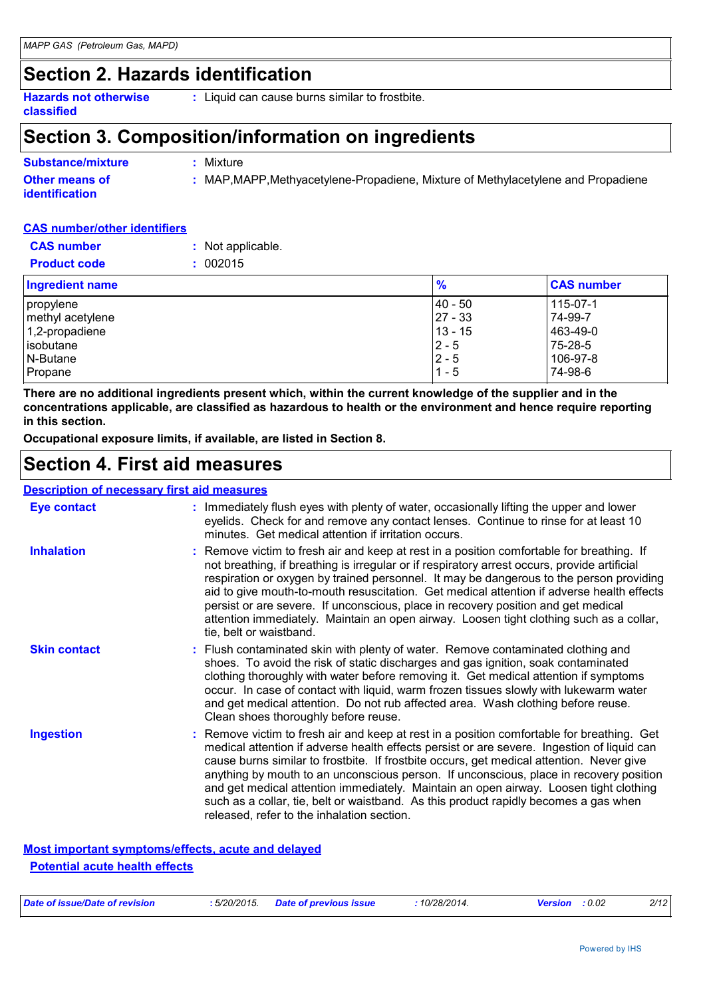### **Section 2. Hazards identification**

**Hazards not otherwise classified :** Liquid can cause burns similar to frostbite.

### **Section 3. Composition/information on ingredients**

| <b>Substance/mixture</b>                       | Mixture                                                                           |
|------------------------------------------------|-----------------------------------------------------------------------------------|
| <b>Other means of</b><br><b>identification</b> | : MAP, MAPP, Methyacetylene-Propadiene, Mixture of Methylacetylene and Propadiene |

#### **CAS number/other identifiers**

| <b>CAS</b> number   | : Not applicable. |
|---------------------|-------------------|
| <b>Product code</b> | : 002015          |

| <b>Ingredient name</b> | $\frac{9}{6}$ | <b>CAS number</b> |
|------------------------|---------------|-------------------|
| propylene              | $ 40 - 50 $   | 115-07-1          |
| methyl acetylene       | $27 - 33$     | 74-99-7           |
| $1,2$ -propadiene      | $13 - 15$     | 463-49-0          |
| isobutane              | $2 - 5$       | 75-28-5           |
| N-Butane               | $2 - 5$       | 106-97-8          |
| Propane                | $1 - 5$       | 74-98-6           |

**There are no additional ingredients present which, within the current knowledge of the supplier and in the concentrations applicable, are classified as hazardous to health or the environment and hence require reporting in this section.**

**Occupational exposure limits, if available, are listed in Section 8.**

### **Section 4. First aid measures**

#### **Description of necessary first aid measures**

| <b>Eye contact</b>  | : Immediately flush eyes with plenty of water, occasionally lifting the upper and lower<br>eyelids. Check for and remove any contact lenses. Continue to rinse for at least 10<br>minutes. Get medical attention if irritation occurs.                                                                                                                                                                                                                                                                                                                                                                        |
|---------------------|---------------------------------------------------------------------------------------------------------------------------------------------------------------------------------------------------------------------------------------------------------------------------------------------------------------------------------------------------------------------------------------------------------------------------------------------------------------------------------------------------------------------------------------------------------------------------------------------------------------|
| <b>Inhalation</b>   | : Remove victim to fresh air and keep at rest in a position comfortable for breathing. If<br>not breathing, if breathing is irregular or if respiratory arrest occurs, provide artificial<br>respiration or oxygen by trained personnel. It may be dangerous to the person providing<br>aid to give mouth-to-mouth resuscitation. Get medical attention if adverse health effects<br>persist or are severe. If unconscious, place in recovery position and get medical<br>attention immediately. Maintain an open airway. Loosen tight clothing such as a collar,<br>tie, belt or waistband.                  |
| <b>Skin contact</b> | : Flush contaminated skin with plenty of water. Remove contaminated clothing and<br>shoes. To avoid the risk of static discharges and gas ignition, soak contaminated<br>clothing thoroughly with water before removing it. Get medical attention if symptoms<br>occur. In case of contact with liquid, warm frozen tissues slowly with lukewarm water<br>and get medical attention. Do not rub affected area. Wash clothing before reuse.<br>Clean shoes thoroughly before reuse.                                                                                                                            |
| <b>Ingestion</b>    | : Remove victim to fresh air and keep at rest in a position comfortable for breathing. Get<br>medical attention if adverse health effects persist or are severe. Ingestion of liquid can<br>cause burns similar to frostbite. If frostbite occurs, get medical attention. Never give<br>anything by mouth to an unconscious person. If unconscious, place in recovery position<br>and get medical attention immediately. Maintain an open airway. Loosen tight clothing<br>such as a collar, tie, belt or waistband. As this product rapidly becomes a gas when<br>released, refer to the inhalation section. |

#### **Most important symptoms/effects, acute and delayed Potential acute health effects**

| Date of issue/Date of revision | : 5/20/2015. | <b>Date of previous issue</b> | 10/28/2014. | : 0.02<br><b>Version</b> | 2/12 |
|--------------------------------|--------------|-------------------------------|-------------|--------------------------|------|
|                                |              |                               |             |                          |      |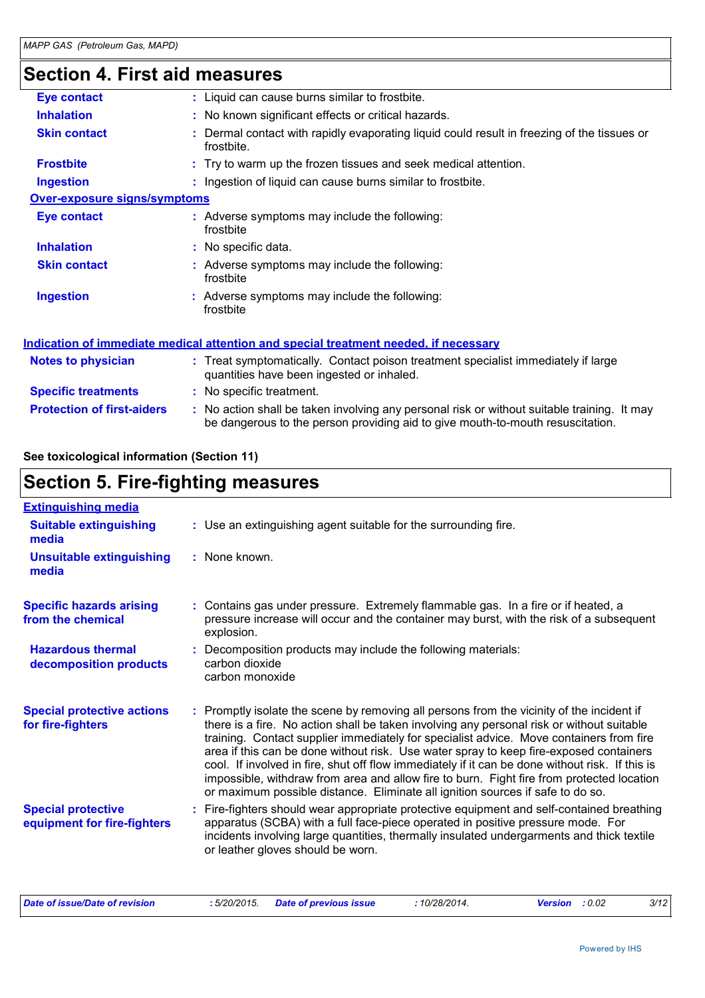## **Section 4. First aid measures**

| <b>Eye contact</b>                  | : Liquid can cause burns similar to frostbite.                                                                                                                                |
|-------------------------------------|-------------------------------------------------------------------------------------------------------------------------------------------------------------------------------|
| <b>Inhalation</b>                   | : No known significant effects or critical hazards.                                                                                                                           |
| <b>Skin contact</b>                 | Dermal contact with rapidly evaporating liquid could result in freezing of the tissues or<br>frostbite.                                                                       |
| <b>Frostbite</b>                    | : Try to warm up the frozen tissues and seek medical attention.                                                                                                               |
| <b>Ingestion</b>                    | : Ingestion of liquid can cause burns similar to frostbite.                                                                                                                   |
| <b>Over-exposure signs/symptoms</b> |                                                                                                                                                                               |
| <b>Eye contact</b>                  | : Adverse symptoms may include the following:<br>frostbite                                                                                                                    |
| <b>Inhalation</b>                   | : No specific data.                                                                                                                                                           |
| <b>Skin contact</b>                 | : Adverse symptoms may include the following:<br>frostbite                                                                                                                    |
| <b>Ingestion</b>                    | : Adverse symptoms may include the following:<br>frostbite                                                                                                                    |
|                                     | Indication of immediate medical attention and special treatment needed, if necessary                                                                                          |
| Notes to physician                  | : Treat symptomatically. Contact poison treatment specialist immediately if large<br>quantities have been ingested or inhaled.                                                |
| <b>Specific treatments</b>          | : No specific treatment.                                                                                                                                                      |
| <b>Protection of first-aiders</b>   | : No action shall be taken involving any personal risk or without suitable training. It may<br>be dangerous to the person providing aid to give mouth-to-mouth resuscitation. |

#### **See toxicological information (Section 11)**

## **Section 5. Fire-fighting measures**

| : Use an extinguishing agent suitable for the surrounding fire.                                                                                                                                                                                                                                                                                                                                                                                                                                                                                                                                                                                               |
|---------------------------------------------------------------------------------------------------------------------------------------------------------------------------------------------------------------------------------------------------------------------------------------------------------------------------------------------------------------------------------------------------------------------------------------------------------------------------------------------------------------------------------------------------------------------------------------------------------------------------------------------------------------|
| : None known.                                                                                                                                                                                                                                                                                                                                                                                                                                                                                                                                                                                                                                                 |
| : Contains gas under pressure. Extremely flammable gas. In a fire or if heated, a<br>pressure increase will occur and the container may burst, with the risk of a subsequent<br>explosion.                                                                                                                                                                                                                                                                                                                                                                                                                                                                    |
| Decomposition products may include the following materials:<br>carbon dioxide<br>carbon monoxide                                                                                                                                                                                                                                                                                                                                                                                                                                                                                                                                                              |
| : Promptly isolate the scene by removing all persons from the vicinity of the incident if<br>there is a fire. No action shall be taken involving any personal risk or without suitable<br>training. Contact supplier immediately for specialist advice. Move containers from fire<br>area if this can be done without risk. Use water spray to keep fire-exposed containers<br>cool. If involved in fire, shut off flow immediately if it can be done without risk. If this is<br>impossible, withdraw from area and allow fire to burn. Fight fire from protected location<br>or maximum possible distance. Eliminate all ignition sources if safe to do so. |
| Fire-fighters should wear appropriate protective equipment and self-contained breathing<br>apparatus (SCBA) with a full face-piece operated in positive pressure mode. For<br>incidents involving large quantities, thermally insulated undergarments and thick textile<br>or leather gloves should be worn.                                                                                                                                                                                                                                                                                                                                                  |
|                                                                                                                                                                                                                                                                                                                                                                                                                                                                                                                                                                                                                                                               |

| Date of issue/Date of revision | 5/20/2015. | <b>Date of previous issue</b> | 10/28/2014. | <b>Version</b> : 0.02 | 3/12 |
|--------------------------------|------------|-------------------------------|-------------|-----------------------|------|
|--------------------------------|------------|-------------------------------|-------------|-----------------------|------|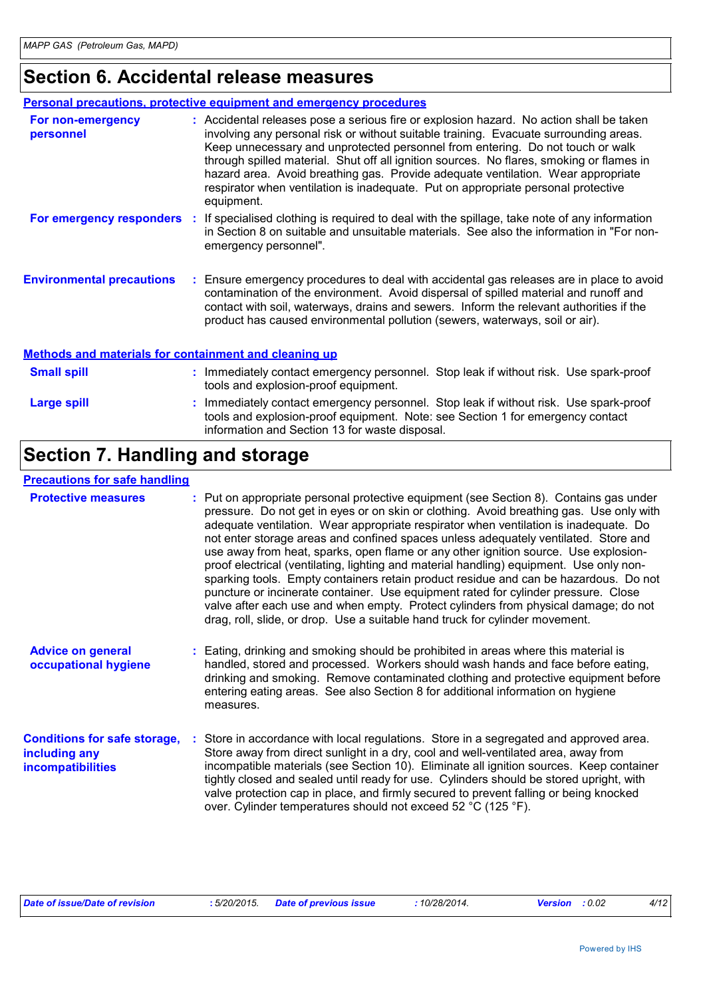## **Section 6. Accidental release measures**

|                                                              | <b>Personal precautions, protective equipment and emergency procedures</b>                                                                                                                                                                                                                                                                                                                                                                                                                                                                            |
|--------------------------------------------------------------|-------------------------------------------------------------------------------------------------------------------------------------------------------------------------------------------------------------------------------------------------------------------------------------------------------------------------------------------------------------------------------------------------------------------------------------------------------------------------------------------------------------------------------------------------------|
| For non-emergency<br>personnel                               | : Accidental releases pose a serious fire or explosion hazard. No action shall be taken<br>involving any personal risk or without suitable training. Evacuate surrounding areas.<br>Keep unnecessary and unprotected personnel from entering. Do not touch or walk<br>through spilled material. Shut off all ignition sources. No flares, smoking or flames in<br>hazard area. Avoid breathing gas. Provide adequate ventilation. Wear appropriate<br>respirator when ventilation is inadequate. Put on appropriate personal protective<br>equipment. |
| For emergency responders                                     | : If specialised clothing is required to deal with the spillage, take note of any information<br>in Section 8 on suitable and unsuitable materials. See also the information in "For non-<br>emergency personnel".                                                                                                                                                                                                                                                                                                                                    |
| <b>Environmental precautions</b>                             | : Ensure emergency procedures to deal with accidental gas releases are in place to avoid<br>contamination of the environment. Avoid dispersal of spilled material and runoff and<br>contact with soil, waterways, drains and sewers. Inform the relevant authorities if the<br>product has caused environmental pollution (sewers, waterways, soil or air).                                                                                                                                                                                           |
| <b>Methods and materials for containment and cleaning up</b> |                                                                                                                                                                                                                                                                                                                                                                                                                                                                                                                                                       |
| <b>Small spill</b>                                           | : Immediately contact emergency personnel. Stop leak if without risk. Use spark-proof                                                                                                                                                                                                                                                                                                                                                                                                                                                                 |

| <b>UNIUM JUM</b> | <b>INTERNATION CONTROL CHICKGONG POISONING.</b> Oldp ICan II WILHOUL HSN. OSC SpaIN-proof<br>tools and explosion-proof equipment.                                                                                       |
|------------------|-------------------------------------------------------------------------------------------------------------------------------------------------------------------------------------------------------------------------|
| Large spill      | Immediately contact emergency personnel. Stop leak if without risk. Use spark-proof<br>tools and explosion-proof equipment. Note: see Section 1 for emergency contact<br>information and Section 13 for waste disposal. |

## **Section 7. Handling and storage**

#### **Precautions for safe handling**

| <b>Protective measures</b>                                                       | : Put on appropriate personal protective equipment (see Section 8). Contains gas under<br>pressure. Do not get in eyes or on skin or clothing. Avoid breathing gas. Use only with<br>adequate ventilation. Wear appropriate respirator when ventilation is inadequate. Do<br>not enter storage areas and confined spaces unless adequately ventilated. Store and<br>use away from heat, sparks, open flame or any other ignition source. Use explosion-<br>proof electrical (ventilating, lighting and material handling) equipment. Use only non-<br>sparking tools. Empty containers retain product residue and can be hazardous. Do not<br>puncture or incinerate container. Use equipment rated for cylinder pressure. Close<br>valve after each use and when empty. Protect cylinders from physical damage; do not<br>drag, roll, slide, or drop. Use a suitable hand truck for cylinder movement. |  |
|----------------------------------------------------------------------------------|---------------------------------------------------------------------------------------------------------------------------------------------------------------------------------------------------------------------------------------------------------------------------------------------------------------------------------------------------------------------------------------------------------------------------------------------------------------------------------------------------------------------------------------------------------------------------------------------------------------------------------------------------------------------------------------------------------------------------------------------------------------------------------------------------------------------------------------------------------------------------------------------------------|--|
| <b>Advice on general</b><br>occupational hygiene                                 | : Eating, drinking and smoking should be prohibited in areas where this material is<br>handled, stored and processed. Workers should wash hands and face before eating,<br>drinking and smoking. Remove contaminated clothing and protective equipment before<br>entering eating areas. See also Section 8 for additional information on hygiene<br>measures.                                                                                                                                                                                                                                                                                                                                                                                                                                                                                                                                           |  |
| <b>Conditions for safe storage,</b><br>including any<br><b>incompatibilities</b> | Store in accordance with local regulations. Store in a segregated and approved area.<br>Store away from direct sunlight in a dry, cool and well-ventilated area, away from<br>incompatible materials (see Section 10). Eliminate all ignition sources. Keep container<br>tightly closed and sealed until ready for use. Cylinders should be stored upright, with<br>valve protection cap in place, and firmly secured to prevent falling or being knocked<br>over. Cylinder temperatures should not exceed 52 °C (125 °F).                                                                                                                                                                                                                                                                                                                                                                              |  |

| Date of issue/Date of revision |  | : 5/20/2015. Date of previous issue | 10/28/2014. | <b>Version</b> : 0.02 |  | 4/12 |
|--------------------------------|--|-------------------------------------|-------------|-----------------------|--|------|
|--------------------------------|--|-------------------------------------|-------------|-----------------------|--|------|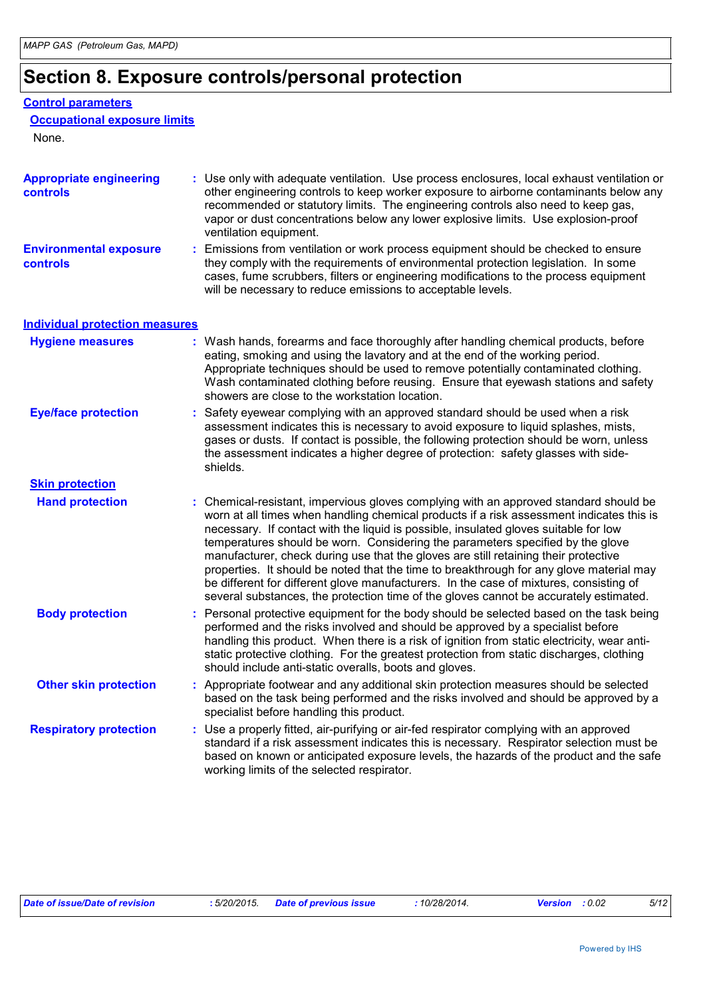## **Section 8. Exposure controls/personal protection**

#### **Control parameters**

#### **Occupational exposure limits**

None.

| <b>Appropriate engineering</b><br>controls | : Use only with adequate ventilation. Use process enclosures, local exhaust ventilation or<br>other engineering controls to keep worker exposure to airborne contaminants below any<br>recommended or statutory limits. The engineering controls also need to keep gas,<br>vapor or dust concentrations below any lower explosive limits. Use explosion-proof<br>ventilation equipment.                                                                                                                                                                                                                                                                                                                                          |
|--------------------------------------------|----------------------------------------------------------------------------------------------------------------------------------------------------------------------------------------------------------------------------------------------------------------------------------------------------------------------------------------------------------------------------------------------------------------------------------------------------------------------------------------------------------------------------------------------------------------------------------------------------------------------------------------------------------------------------------------------------------------------------------|
| <b>Environmental exposure</b><br>controls  | : Emissions from ventilation or work process equipment should be checked to ensure<br>they comply with the requirements of environmental protection legislation. In some<br>cases, fume scrubbers, filters or engineering modifications to the process equipment<br>will be necessary to reduce emissions to acceptable levels.                                                                                                                                                                                                                                                                                                                                                                                                  |
| <b>Individual protection measures</b>      |                                                                                                                                                                                                                                                                                                                                                                                                                                                                                                                                                                                                                                                                                                                                  |
| <b>Hygiene measures</b>                    | : Wash hands, forearms and face thoroughly after handling chemical products, before<br>eating, smoking and using the lavatory and at the end of the working period.<br>Appropriate techniques should be used to remove potentially contaminated clothing.<br>Wash contaminated clothing before reusing. Ensure that eyewash stations and safety<br>showers are close to the workstation location.                                                                                                                                                                                                                                                                                                                                |
| <b>Eye/face protection</b>                 | : Safety eyewear complying with an approved standard should be used when a risk<br>assessment indicates this is necessary to avoid exposure to liquid splashes, mists,<br>gases or dusts. If contact is possible, the following protection should be worn, unless<br>the assessment indicates a higher degree of protection: safety glasses with side-<br>shields.                                                                                                                                                                                                                                                                                                                                                               |
| <b>Skin protection</b>                     |                                                                                                                                                                                                                                                                                                                                                                                                                                                                                                                                                                                                                                                                                                                                  |
| <b>Hand protection</b>                     | : Chemical-resistant, impervious gloves complying with an approved standard should be<br>worn at all times when handling chemical products if a risk assessment indicates this is<br>necessary. If contact with the liquid is possible, insulated gloves suitable for low<br>temperatures should be worn. Considering the parameters specified by the glove<br>manufacturer, check during use that the gloves are still retaining their protective<br>properties. It should be noted that the time to breakthrough for any glove material may<br>be different for different glove manufacturers. In the case of mixtures, consisting of<br>several substances, the protection time of the gloves cannot be accurately estimated. |
| <b>Body protection</b>                     | Personal protective equipment for the body should be selected based on the task being<br>performed and the risks involved and should be approved by a specialist before<br>handling this product. When there is a risk of ignition from static electricity, wear anti-<br>static protective clothing. For the greatest protection from static discharges, clothing<br>should include anti-static overalls, boots and gloves.                                                                                                                                                                                                                                                                                                     |
| <b>Other skin protection</b>               | : Appropriate footwear and any additional skin protection measures should be selected<br>based on the task being performed and the risks involved and should be approved by a<br>specialist before handling this product.                                                                                                                                                                                                                                                                                                                                                                                                                                                                                                        |
| <b>Respiratory protection</b>              | : Use a properly fitted, air-purifying or air-fed respirator complying with an approved<br>standard if a risk assessment indicates this is necessary. Respirator selection must be<br>based on known or anticipated exposure levels, the hazards of the product and the safe<br>working limits of the selected respirator.                                                                                                                                                                                                                                                                                                                                                                                                       |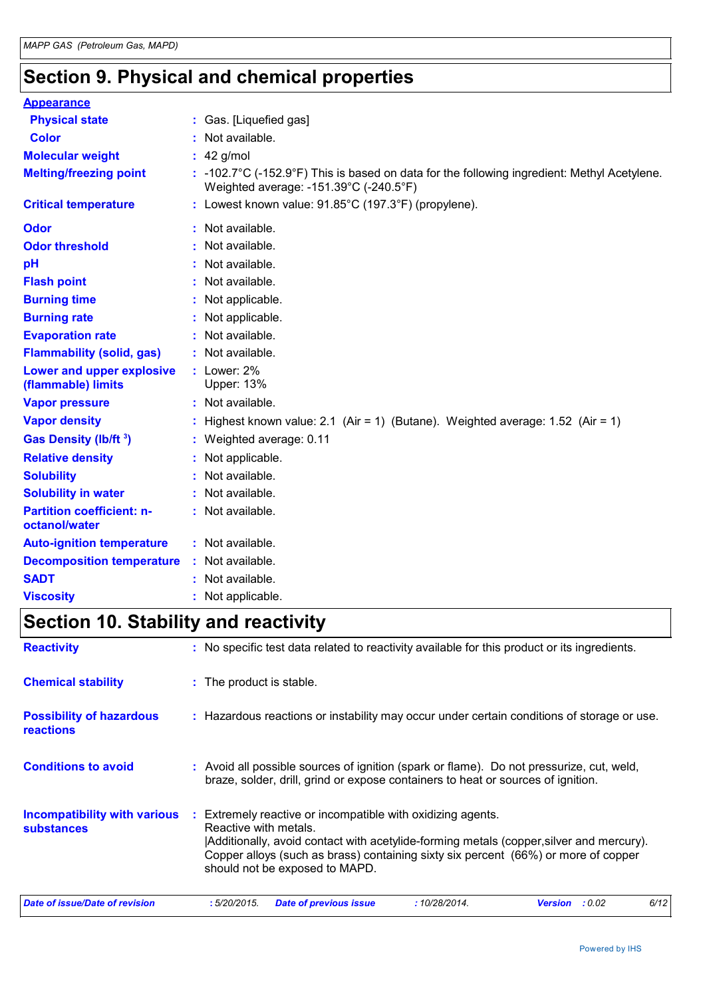## **Section 9. Physical and chemical properties**

| <b>Appearance</b>                                 |    |                                                                                                                                                 |
|---------------------------------------------------|----|-------------------------------------------------------------------------------------------------------------------------------------------------|
| <b>Physical state</b>                             |    | : Gas. [Liquefied gas]                                                                                                                          |
| <b>Color</b>                                      |    | Not available.                                                                                                                                  |
| <b>Molecular weight</b>                           |    | $: 42$ g/mol                                                                                                                                    |
| <b>Melting/freezing point</b>                     |    | $: -102.7^{\circ}$ C (-152.9°F) This is based on data for the following ingredient: Methyl Acetylene.<br>Weighted average: -151.39°C (-240.5°F) |
| <b>Critical temperature</b>                       |    | : Lowest known value: $91.85^{\circ}$ C (197.3°F) (propylene).                                                                                  |
| <b>Odor</b>                                       |    | Not available.                                                                                                                                  |
| <b>Odor threshold</b>                             |    | Not available.                                                                                                                                  |
| pH                                                |    | Not available.                                                                                                                                  |
| <b>Flash point</b>                                |    | Not available.                                                                                                                                  |
| <b>Burning time</b>                               |    | Not applicable.                                                                                                                                 |
| <b>Burning rate</b>                               |    | Not applicable.                                                                                                                                 |
| <b>Evaporation rate</b>                           | ÷. | Not available.                                                                                                                                  |
| <b>Flammability (solid, gas)</b>                  |    | Not available.                                                                                                                                  |
| Lower and upper explosive<br>(flammable) limits   |    | $:$ Lower: 2%<br><b>Upper: 13%</b>                                                                                                              |
| <b>Vapor pressure</b>                             |    | : Not available.                                                                                                                                |
| <b>Vapor density</b>                              |    | Highest known value: 2.1 (Air = 1) (Butane). Weighted average: $1.52$ (Air = 1)                                                                 |
| Gas Density (lb/ft <sup>3</sup> )                 |    | : Weighted average: 0.11                                                                                                                        |
| <b>Relative density</b>                           | ÷. | Not applicable.                                                                                                                                 |
| <b>Solubility</b>                                 |    | Not available.                                                                                                                                  |
| <b>Solubility in water</b>                        |    | Not available.                                                                                                                                  |
| <b>Partition coefficient: n-</b><br>octanol/water |    | Not available.                                                                                                                                  |
| <b>Auto-ignition temperature</b>                  |    | : Not available.                                                                                                                                |
| <b>Decomposition temperature</b>                  |    | : Not available.                                                                                                                                |
| <b>SADT</b>                                       |    | Not available.                                                                                                                                  |
| <b>Viscosity</b>                                  |    | Not applicable.                                                                                                                                 |

## **Section 10. Stability and reactivity**

| <b>Reactivity</b>                                        | : No specific test data related to reactivity available for this product or its ingredients.                                                                                                                                                                                                                |  |  |
|----------------------------------------------------------|-------------------------------------------------------------------------------------------------------------------------------------------------------------------------------------------------------------------------------------------------------------------------------------------------------------|--|--|
| <b>Chemical stability</b>                                | : The product is stable.                                                                                                                                                                                                                                                                                    |  |  |
| <b>Possibility of hazardous</b><br><b>reactions</b>      | : Hazardous reactions or instability may occur under certain conditions of storage or use.                                                                                                                                                                                                                  |  |  |
| <b>Conditions to avoid</b>                               | : Avoid all possible sources of ignition (spark or flame). Do not pressurize, cut, weld,<br>braze, solder, drill, grind or expose containers to heat or sources of ignition.                                                                                                                                |  |  |
| <b>Incompatibility with various</b><br><b>substances</b> | Extremely reactive or incompatible with oxidizing agents.<br>÷.<br>Reactive with metals.<br>Additionally, avoid contact with acetylide-forming metals (copper, silver and mercury).<br>Copper alloys (such as brass) containing sixty six percent (66%) or more of copper<br>should not be exposed to MAPD. |  |  |
| Date of issue/Date of revision                           | :5/20/2015.<br><b>Date of previous issue</b><br>:10/28/2014.<br><b>Version</b> : 0.02<br>6/12                                                                                                                                                                                                               |  |  |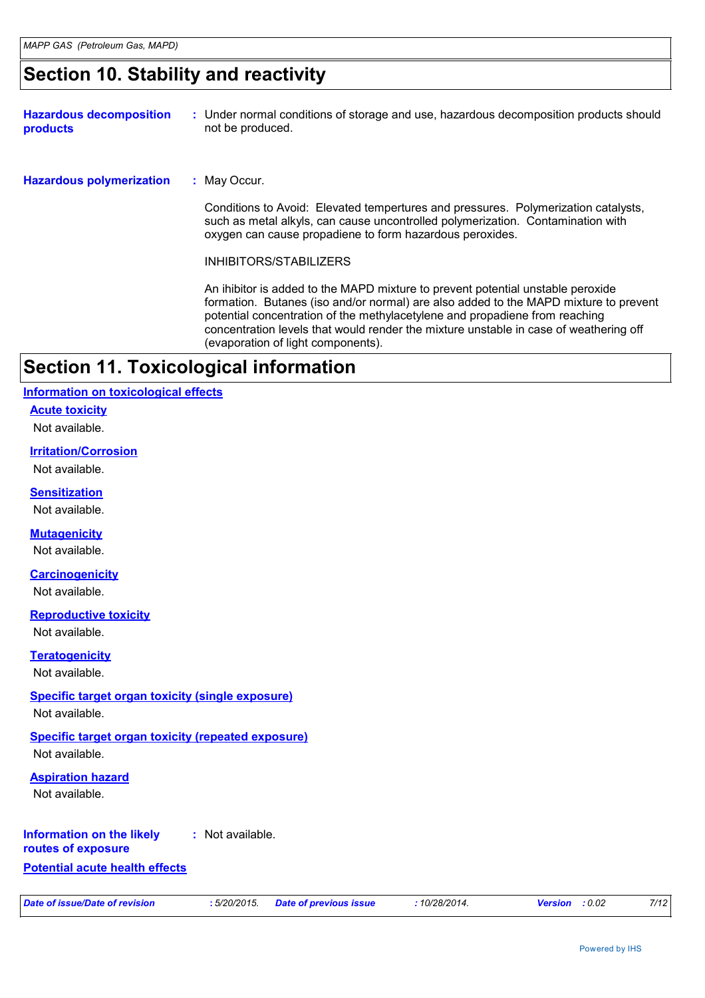### **Section 10. Stability and reactivity**

| <b>Hazardous decomposition</b><br><b>products</b> | : Under normal conditions of storage and use, hazardous decomposition products should<br>not be produced.                                                                                                                                                                                                                                                                             |
|---------------------------------------------------|---------------------------------------------------------------------------------------------------------------------------------------------------------------------------------------------------------------------------------------------------------------------------------------------------------------------------------------------------------------------------------------|
| <b>Hazardous polymerization</b>                   | : May Occur.                                                                                                                                                                                                                                                                                                                                                                          |
|                                                   | Conditions to Avoid: Elevated tempertures and pressures. Polymerization catalysts,<br>such as metal alkyls, can cause uncontrolled polymerization. Contamination with<br>oxygen can cause propadiene to form hazardous peroxides.                                                                                                                                                     |
|                                                   | INHIBITORS/STABILIZERS                                                                                                                                                                                                                                                                                                                                                                |
|                                                   | An ihibitor is added to the MAPD mixture to prevent potential unstable peroxide<br>formation. Butanes (iso and/or normal) are also added to the MAPD mixture to prevent<br>potential concentration of the methylacetylene and propadiene from reaching<br>concentration levels that would render the mixture unstable in case of weathering off<br>(evaporation of light components). |
| Section 11. Toxicological information             |                                                                                                                                                                                                                                                                                                                                                                                       |

#### **Information on toxicological effects**

**Acute toxicity**

Not available.

#### **Irritation/Corrosion**

Not available.

#### **Sensitization**

Not available.

#### **Mutagenicity**

Not available.

#### **Carcinogenicity**

Not available.

#### **Reproductive toxicity**

Not available.

#### **Teratogenicity**

Not available.

#### **Specific target organ toxicity (single exposure)**

Not available.

#### **Specific target organ toxicity (repeated exposure)** Not available.

#### **Aspiration hazard**

Not available.

#### **Information on the likely :** Not available.

**routes of exposure**

#### **Potential acute health effects**

*Date of issue/Date of revision* **:** *5/20/2015. Date of previous issue : 10/28/2014. Version : 0.02 7/12*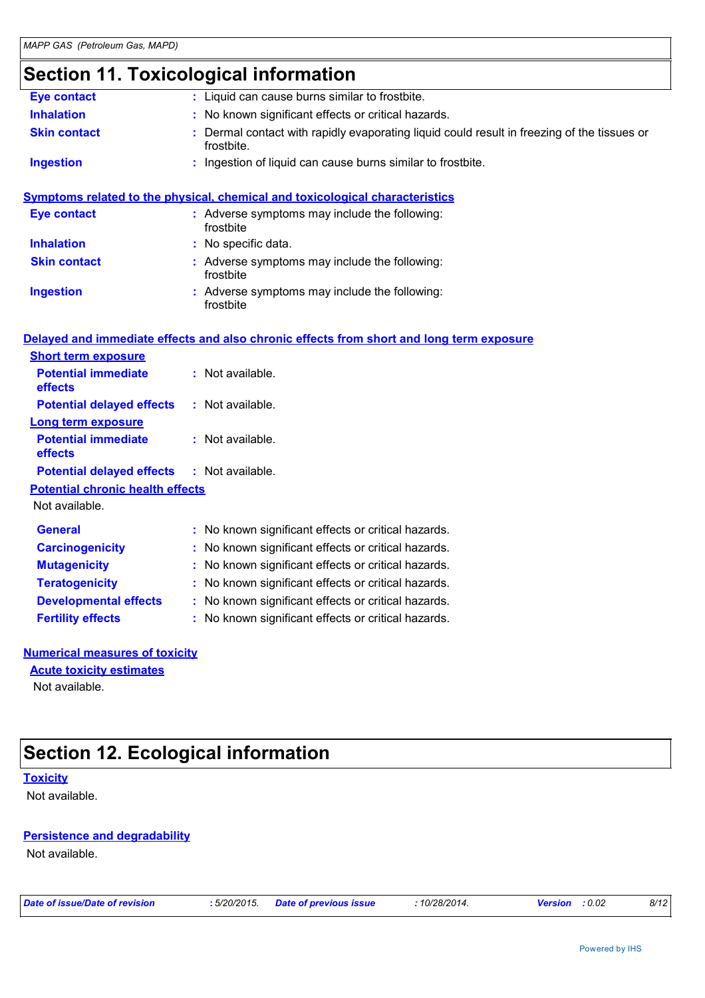## **Section 11. Toxicological information**

| <b>Eye contact</b>                      | : Liquid can cause burns similar to frostbite.                                                          |
|-----------------------------------------|---------------------------------------------------------------------------------------------------------|
| <b>Inhalation</b>                       | : No known significant effects or critical hazards.                                                     |
| <b>Skin contact</b>                     | Dermal contact with rapidly evaporating liquid could result in freezing of the tissues or<br>frostbite. |
| <b>Ingestion</b>                        | Ingestion of liquid can cause burns similar to frostbite.                                               |
|                                         | Symptoms related to the physical, chemical and toxicological characteristics                            |
| <b>Eye contact</b>                      | : Adverse symptoms may include the following:<br>frostbite                                              |
| <b>Inhalation</b>                       | : No specific data.                                                                                     |
| <b>Skin contact</b>                     | : Adverse symptoms may include the following:<br>frostbite                                              |
| <b>Ingestion</b>                        | Adverse symptoms may include the following:<br>frostbite                                                |
|                                         | Delayed and immediate effects and also chronic effects from short and long term exposure                |
| <b>Short term exposure</b>              |                                                                                                         |
| <b>Potential immediate</b><br>effects   | : Not available.                                                                                        |
| <b>Potential delayed effects</b>        | : Not available.                                                                                        |
| <b>Long term exposure</b>               |                                                                                                         |
| <b>Potential immediate</b><br>effects   | : Not available.                                                                                        |
| <b>Potential delayed effects</b>        | : Not available.                                                                                        |
| <b>Potential chronic health effects</b> |                                                                                                         |
| Not available.                          |                                                                                                         |
| <b>General</b>                          | : No known significant effects or critical hazards.                                                     |
| <b>Carcinogenicity</b>                  | : No known significant effects or critical hazards.                                                     |
| <b>Mutagenicity</b>                     | : No known significant effects or critical hazards.                                                     |
| <b>Teratogenicity</b>                   | : No known significant effects or critical hazards.                                                     |
| <b>Developmental effects</b>            | : No known significant effects or critical hazards.                                                     |
| <b>Fertility effects</b>                | : No known significant effects or critical hazards.                                                     |
| <b>Numerical measures of toxicity</b>   |                                                                                                         |
|                                         |                                                                                                         |

#### **Acute toxicity estimates**

Not available.

## **Section 12. Ecological information**

#### **Toxicity**

Not available.

#### **Persistence and degradability**

Not available.

*Date of issue/Date of revision* **:** *5/20/2015. Date of previous issue : 10/28/2014. Version : 0.02 8/12*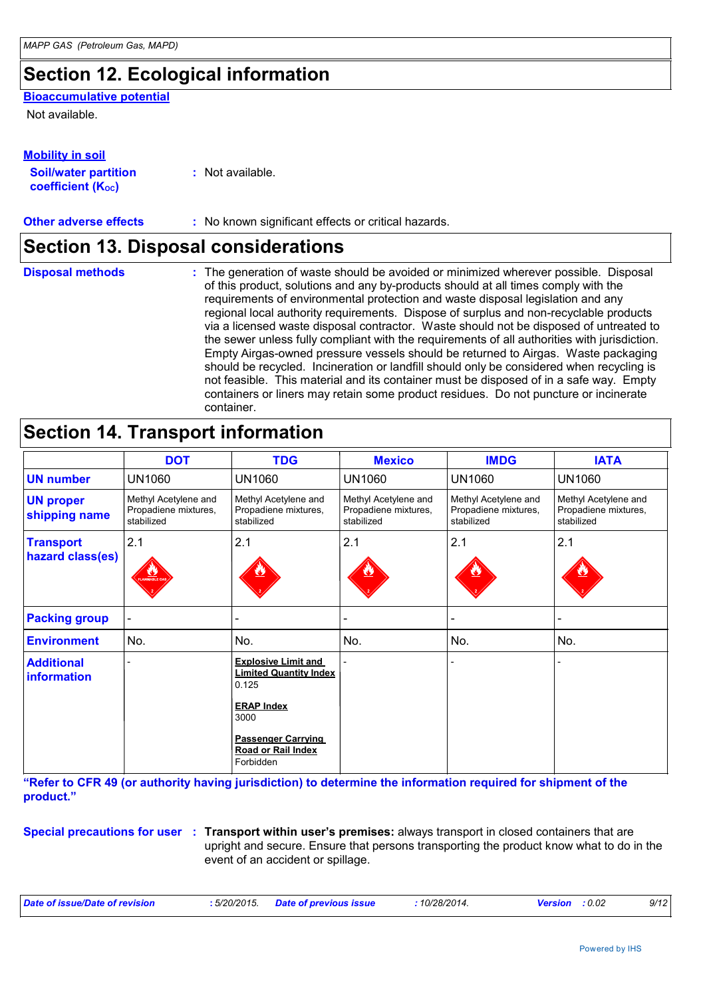## **Section 12. Ecological information**

#### **Bioaccumulative potential**

Not available.

| <b>Mobility in soil</b>     |  |  |
|-----------------------------|--|--|
| <b>Soil/water partition</b> |  |  |

**coefficient (KOC)**

**:** Not available.

**Other adverse effects** : No known significant effects or critical hazards.

### **Section 13. Disposal considerations**

**Disposal methods :**

The generation of waste should be avoided or minimized wherever possible. Disposal of this product, solutions and any by-products should at all times comply with the requirements of environmental protection and waste disposal legislation and any regional local authority requirements. Dispose of surplus and non-recyclable products via a licensed waste disposal contractor. Waste should not be disposed of untreated to the sewer unless fully compliant with the requirements of all authorities with jurisdiction. Empty Airgas-owned pressure vessels should be returned to Airgas. Waste packaging should be recycled. Incineration or landfill should only be considered when recycling is not feasible. This material and its container must be disposed of in a safe way. Empty containers or liners may retain some product residues. Do not puncture or incinerate container.

### **Section 14. Transport information**

|                                         | <b>DOT</b>                                                 | <b>TDG</b>                                                                                                                                                               | <b>Mexico</b>                                              | <b>IMDG</b>                                                | <b>IATA</b>                                                |
|-----------------------------------------|------------------------------------------------------------|--------------------------------------------------------------------------------------------------------------------------------------------------------------------------|------------------------------------------------------------|------------------------------------------------------------|------------------------------------------------------------|
| <b>UN number</b>                        | <b>UN1060</b>                                              | <b>UN1060</b>                                                                                                                                                            | <b>UN1060</b>                                              | <b>UN1060</b>                                              | <b>UN1060</b>                                              |
| <b>UN proper</b><br>shipping name       | Methyl Acetylene and<br>Propadiene mixtures,<br>stabilized | Methyl Acetylene and<br>Propadiene mixtures,<br>stabilized                                                                                                               | Methyl Acetylene and<br>Propadiene mixtures,<br>stabilized | Methyl Acetylene and<br>Propadiene mixtures,<br>stabilized | Methyl Acetylene and<br>Propadiene mixtures,<br>stabilized |
| <b>Transport</b><br>hazard class(es)    | 2.1<br>LAWMABLE G                                          | 2.1                                                                                                                                                                      | 2.1                                                        | 2.1                                                        | 2.1                                                        |
| <b>Packing group</b>                    |                                                            |                                                                                                                                                                          |                                                            |                                                            |                                                            |
| <b>Environment</b>                      | No.                                                        | No.                                                                                                                                                                      | No.                                                        | No.                                                        | No.                                                        |
| <b>Additional</b><br><b>information</b> |                                                            | <b>Explosive Limit and</b><br><b>Limited Quantity Index</b><br>0.125<br><b>ERAP Index</b><br>3000<br><b>Passenger Carrying</b><br><b>Road or Rail Index</b><br>Forbidden |                                                            |                                                            |                                                            |

**"Refer to CFR 49 (or authority having jurisdiction) to determine the information required for shipment of the product."** 

**Special precautions for user Transport within user's premises:** always transport in closed containers that are **:** upright and secure. Ensure that persons transporting the product know what to do in the event of an accident or spillage.

| $10/28/2014$ .<br>: 5/20/2015.<br>Date of issue/Date of revision<br><b>Date of previous issue</b><br>: 0.02<br><b>Version</b> |  |  |  |  | 9/12 |
|-------------------------------------------------------------------------------------------------------------------------------|--|--|--|--|------|
|-------------------------------------------------------------------------------------------------------------------------------|--|--|--|--|------|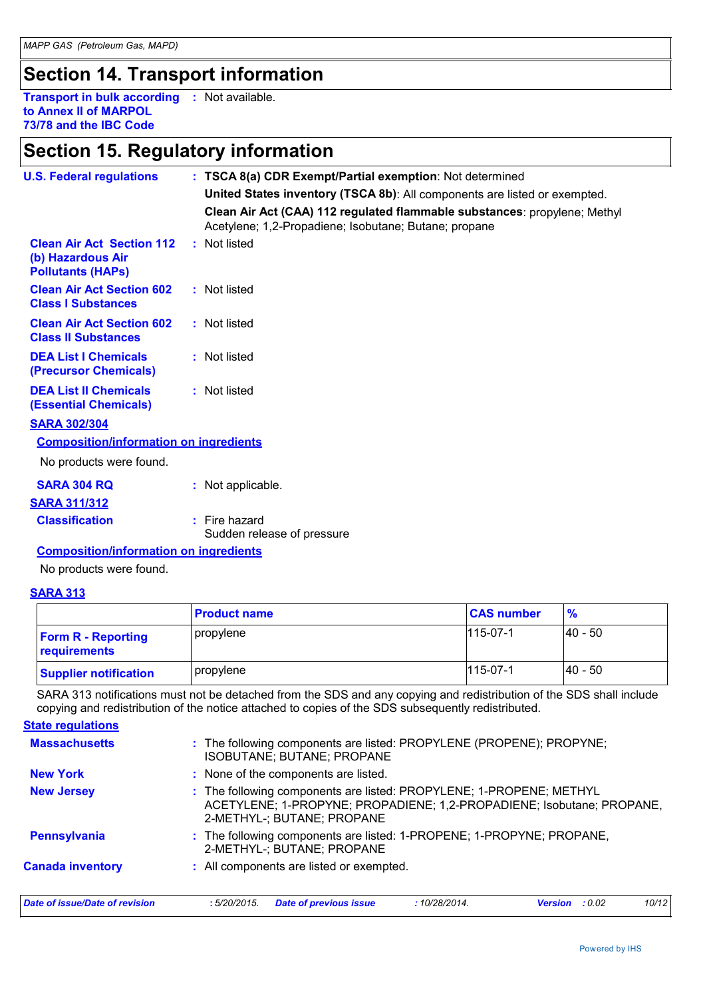## **Section 14. Transport information**

**Transport in bulk according :** Not available. **to Annex II of MARPOL 73/78 and the IBC Code**

### **Section 15. Regulatory information**

| <b>U.S. Federal regulations</b>                                                   | : TSCA 8(a) CDR Exempt/Partial exemption: Not determined                                                                           |
|-----------------------------------------------------------------------------------|------------------------------------------------------------------------------------------------------------------------------------|
|                                                                                   | United States inventory (TSCA 8b): All components are listed or exempted.                                                          |
|                                                                                   | Clean Air Act (CAA) 112 regulated flammable substances: propylene; Methyl<br>Acetylene; 1,2-Propadiene; Isobutane; Butane; propane |
| <b>Clean Air Act Section 112</b><br>(b) Hazardous Air<br><b>Pollutants (HAPS)</b> | : Not listed                                                                                                                       |
| <b>Clean Air Act Section 602</b><br><b>Class I Substances</b>                     | : Not listed                                                                                                                       |
| <b>Clean Air Act Section 602</b><br><b>Class II Substances</b>                    | : Not listed                                                                                                                       |
| <b>DEA List I Chemicals</b><br>(Precursor Chemicals)                              | : Not listed                                                                                                                       |
| <b>DEA List II Chemicals</b><br><b>(Essential Chemicals)</b>                      | : Not listed                                                                                                                       |
| <b>SARA 302/304</b>                                                               |                                                                                                                                    |
| <b>Composition/information on ingredients</b>                                     |                                                                                                                                    |
| No products were found.                                                           |                                                                                                                                    |
| <b>SARA 304 RQ</b>                                                                | : Not applicable.                                                                                                                  |
| <b>SARA 311/312</b>                                                               |                                                                                                                                    |
| <b>Classification</b>                                                             | $:$ Fire hazard<br>Sudden release of pressure                                                                                      |

**Composition/information on ingredients**

No products were found.

#### **SARA 313**

|                                           | <b>Product name</b> | <b>CAS number</b> | $\frac{9}{6}$ |
|-------------------------------------------|---------------------|-------------------|---------------|
| <b>Form R - Reporting</b><br>requirements | propylene           | $115 - 07 - 1$    | l40 - 50      |
| <b>Supplier notification</b>              | propylene           | $115 - 07 - 1$    | I40 - 50      |

SARA 313 notifications must not be detached from the SDS and any copying and redistribution of the SDS shall include copying and redistribution of the notice attached to copies of the SDS subsequently redistributed.

| <b>State regulations</b>       |                                                                                                                                                                            |  |  |  |  |
|--------------------------------|----------------------------------------------------------------------------------------------------------------------------------------------------------------------------|--|--|--|--|
| <b>Massachusetts</b>           | : The following components are listed: PROPYLENE (PROPENE); PROPYNE;<br>ISOBUTANE; BUTANE; PROPANE                                                                         |  |  |  |  |
| <b>New York</b>                | : None of the components are listed.                                                                                                                                       |  |  |  |  |
| <b>New Jersey</b>              | : The following components are listed: PROPYLENE; 1-PROPENE; METHYL<br>ACETYLENE; 1-PROPYNE; PROPADIENE; 1,2-PROPADIENE; Isobutane; PROPANE,<br>2-METHYL-; BUTANE; PROPANE |  |  |  |  |
| <b>Pennsylvania</b>            | : The following components are listed: 1-PROPENE; 1-PROPYNE; PROPANE,<br>2-METHYL-; BUTANE; PROPANE                                                                        |  |  |  |  |
| <b>Canada inventory</b>        | : All components are listed or exempted.                                                                                                                                   |  |  |  |  |
| Date of issue/Date of revision | <b>Date of previous issue</b><br>10/12<br>:5/20/2015.<br>:10/28/2014.<br>: 0.02<br><b>Version</b>                                                                          |  |  |  |  |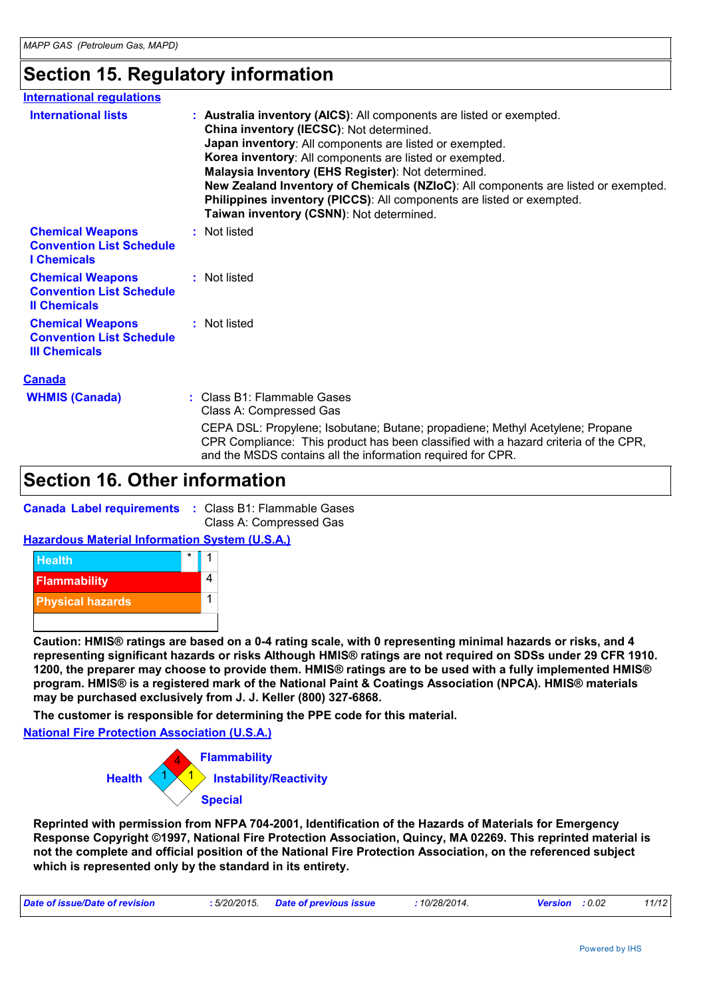### **Section 15. Regulatory information**

| <b>International regulations</b>                                                   |                                                                                                                                                                                                                                                                                                                                                                                                                                                                                                         |
|------------------------------------------------------------------------------------|---------------------------------------------------------------------------------------------------------------------------------------------------------------------------------------------------------------------------------------------------------------------------------------------------------------------------------------------------------------------------------------------------------------------------------------------------------------------------------------------------------|
| <b>International lists</b>                                                         | : Australia inventory (AICS): All components are listed or exempted.<br>China inventory (IECSC): Not determined.<br>Japan inventory: All components are listed or exempted.<br>Korea inventory: All components are listed or exempted.<br>Malaysia Inventory (EHS Register): Not determined.<br>New Zealand Inventory of Chemicals (NZIoC): All components are listed or exempted.<br>Philippines inventory (PICCS): All components are listed or exempted.<br>Taiwan inventory (CSNN): Not determined. |
| <b>Chemical Weapons</b><br><b>Convention List Schedule</b><br><b>I</b> Chemicals   | : Not listed                                                                                                                                                                                                                                                                                                                                                                                                                                                                                            |
| <b>Chemical Weapons</b><br><b>Convention List Schedule</b><br><b>Il Chemicals</b>  | : Not listed                                                                                                                                                                                                                                                                                                                                                                                                                                                                                            |
| <b>Chemical Weapons</b><br><b>Convention List Schedule</b><br><b>III Chemicals</b> | : Not listed                                                                                                                                                                                                                                                                                                                                                                                                                                                                                            |
| <b>Canada</b>                                                                      |                                                                                                                                                                                                                                                                                                                                                                                                                                                                                                         |
| <b>WHMIS (Canada)</b>                                                              | : Class B1: Flammable Gases<br>Class A: Compressed Gas                                                                                                                                                                                                                                                                                                                                                                                                                                                  |
|                                                                                    | CEPA DSL: Propylene; Isobutane; Butane; propadiene; Methyl Acetylene; Propane<br>CPR Compliance: This product has been classified with a hazard criteria of the CPR,                                                                                                                                                                                                                                                                                                                                    |

and the MSDS contains all the information required for CPR.

### **Section 16. Other information**

|  | <b>Canada Label requirements : Class B1: Flammable Gases</b> |  |
|--|--------------------------------------------------------------|--|
|  | Class A: Compressed Gas                                      |  |

#### **Hazardous Material Information System (U.S.A.)**



**Caution: HMIS® ratings are based on a 0-4 rating scale, with 0 representing minimal hazards or risks, and 4 representing significant hazards or risks Although HMIS® ratings are not required on SDSs under 29 CFR 1910. 1200, the preparer may choose to provide them. HMIS® ratings are to be used with a fully implemented HMIS® program. HMIS® is a registered mark of the National Paint & Coatings Association (NPCA). HMIS® materials may be purchased exclusively from J. J. Keller (800) 327-6868.**

**The customer is responsible for determining the PPE code for this material.**

**National Fire Protection Association (U.S.A.)**



**Reprinted with permission from NFPA 704-2001, Identification of the Hazards of Materials for Emergency Response Copyright ©1997, National Fire Protection Association, Quincy, MA 02269. This reprinted material is not the complete and official position of the National Fire Protection Association, on the referenced subject which is represented only by the standard in its entirety.**

| : 5/20/2015.<br>Date of issue/Date of revision<br>Date of previous issue<br>10/28/2014.<br>: 0.02<br>Version<br>_______ |  |  |  |  | 11/12 |
|-------------------------------------------------------------------------------------------------------------------------|--|--|--|--|-------|
|-------------------------------------------------------------------------------------------------------------------------|--|--|--|--|-------|